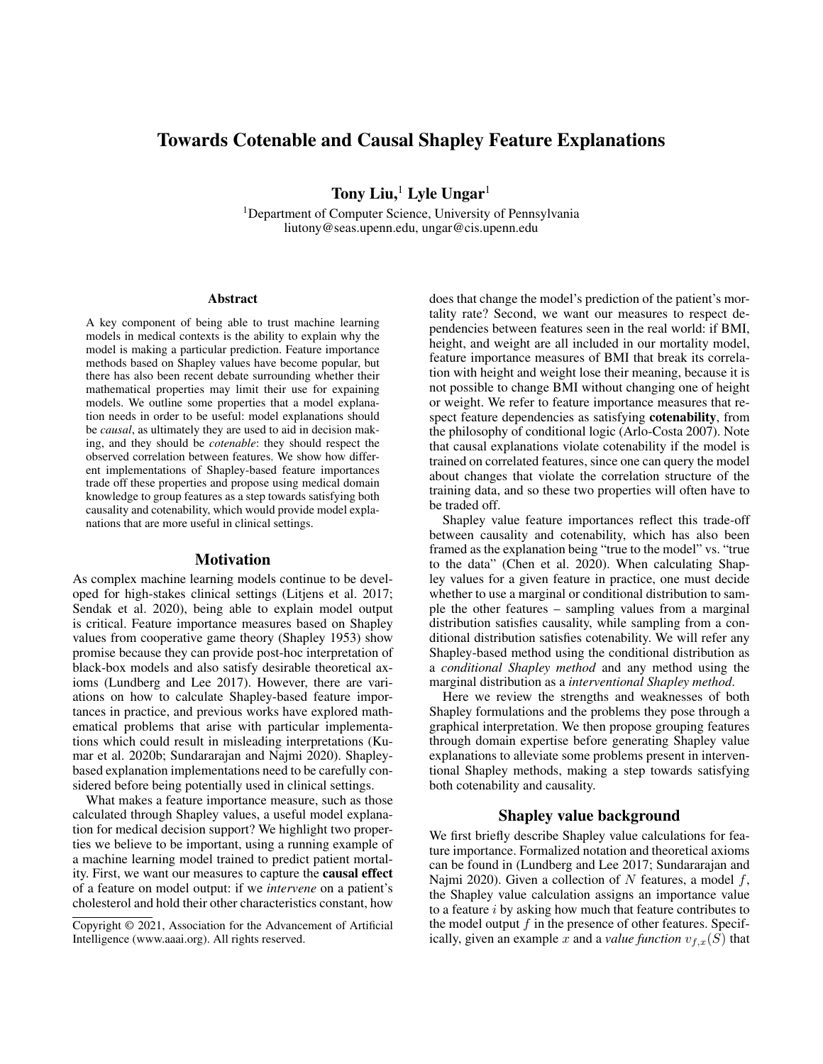# Towards Cotenable and Causal Shapley Feature Explanations

Tony Liu, $<sup>1</sup>$  Lyle Ungar<sup>1</sup></sup>

<sup>1</sup>Department of Computer Science, University of Pennsylvania liutony@seas.upenn.edu, ungar@cis.upenn.edu

#### Abstract

A key component of being able to trust machine learning models in medical contexts is the ability to explain why the model is making a particular prediction. Feature importance methods based on Shapley values have become popular, but there has also been recent debate surrounding whether their mathematical properties may limit their use for expaining models. We outline some properties that a model explanation needs in order to be useful: model explanations should be *causal*, as ultimately they are used to aid in decision making, and they should be *cotenable*: they should respect the observed correlation between features. We show how different implementations of Shapley-based feature importances trade off these properties and propose using medical domain knowledge to group features as a step towards satisfying both causality and cotenability, which would provide model explanations that are more useful in clinical settings.

### Motivation

As complex machine learning models continue to be developed for high-stakes clinical settings (Litjens et al. 2017; Sendak et al. 2020), being able to explain model output is critical. Feature importance measures based on Shapley values from cooperative game theory (Shapley 1953) show promise because they can provide post-hoc interpretation of black-box models and also satisfy desirable theoretical axioms (Lundberg and Lee 2017). However, there are variations on how to calculate Shapley-based feature importances in practice, and previous works have explored mathematical problems that arise with particular implementations which could result in misleading interpretations (Kumar et al. 2020b; Sundararajan and Najmi 2020). Shapleybased explanation implementations need to be carefully considered before being potentially used in clinical settings.

What makes a feature importance measure, such as those calculated through Shapley values, a useful model explanation for medical decision support? We highlight two properties we believe to be important, using a running example of a machine learning model trained to predict patient mortality. First, we want our measures to capture the causal effect of a feature on model output: if we *intervene* on a patient's cholesterol and hold their other characteristics constant, how

does that change the model's prediction of the patient's mortality rate? Second, we want our measures to respect dependencies between features seen in the real world: if BMI, height, and weight are all included in our mortality model, feature importance measures of BMI that break its correlation with height and weight lose their meaning, because it is not possible to change BMI without changing one of height or weight. We refer to feature importance measures that respect feature dependencies as satisfying cotenability, from the philosophy of conditional logic (Arlo-Costa 2007). Note that causal explanations violate cotenability if the model is trained on correlated features, since one can query the model about changes that violate the correlation structure of the training data, and so these two properties will often have to be traded off.

Shapley value feature importances reflect this trade-off between causality and cotenability, which has also been framed as the explanation being "true to the model" vs. "true to the data" (Chen et al. 2020). When calculating Shapley values for a given feature in practice, one must decide whether to use a marginal or conditional distribution to sample the other features – sampling values from a marginal distribution satisfies causality, while sampling from a conditional distribution satisfies cotenability. We will refer any Shapley-based method using the conditional distribution as a *conditional Shapley method* and any method using the marginal distribution as a *interventional Shapley method*.

Here we review the strengths and weaknesses of both Shapley formulations and the problems they pose through a graphical interpretation. We then propose grouping features through domain expertise before generating Shapley value explanations to alleviate some problems present in interventional Shapley methods, making a step towards satisfying both cotenability and causality.

# Shapley value background

We first briefly describe Shapley value calculations for feature importance. Formalized notation and theoretical axioms can be found in (Lundberg and Lee 2017; Sundararajan and Najmi 2020). Given a collection of N features, a model  $f$ , the Shapley value calculation assigns an importance value to a feature  $i$  by asking how much that feature contributes to the model output  $f$  in the presence of other features. Specifically, given an example x and a *value function*  $v_{f,x}(S)$  that

Copyright © 2021, Association for the Advancement of Artificial Intelligence (www.aaai.org). All rights reserved.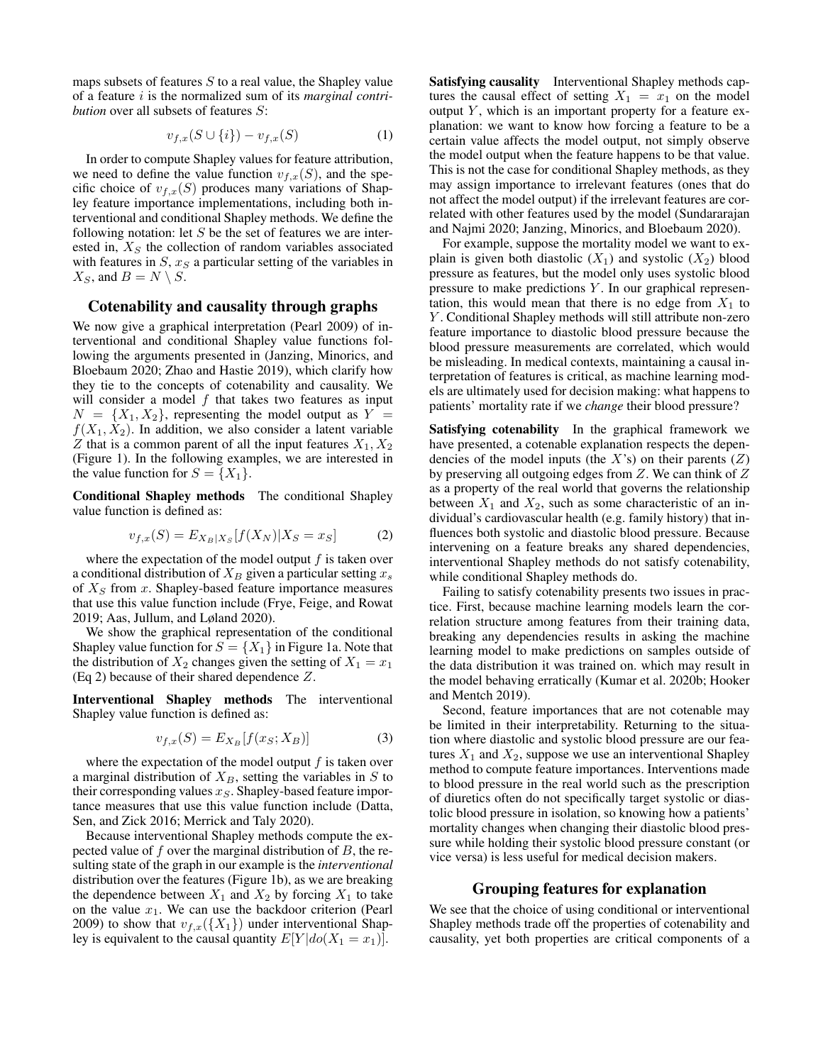maps subsets of features  $S$  to a real value, the Shapley value of a feature i is the normalized sum of its *marginal contribution* over all subsets of features S:

$$
v_{f,x}(S \cup \{i\}) - v_{f,x}(S) \tag{1}
$$

In order to compute Shapley values for feature attribution, we need to define the value function  $v_{f,x}(S)$ , and the specific choice of  $v_{f,x}(S)$  produces many variations of Shapley feature importance implementations, including both interventional and conditional Shapley methods. We define the following notation: let  $S$  be the set of features we are interested in,  $X<sub>S</sub>$  the collection of random variables associated with features in  $S$ ,  $x_S$  a particular setting of the variables in  $X_S$ , and  $B = N \setminus S$ .

# Cotenability and causality through graphs

We now give a graphical interpretation (Pearl 2009) of interventional and conditional Shapley value functions following the arguments presented in (Janzing, Minorics, and Bloebaum 2020; Zhao and Hastie 2019), which clarify how they tie to the concepts of cotenability and causality. We will consider a model  $f$  that takes two features as input  $N = \{X_1, X_2\}$ , representing the model output as  $Y =$  $f(X_1, X_2)$ . In addition, we also consider a latent variable  $Z$  that is a common parent of all the input features  $X_1, X_2$ (Figure 1). In the following examples, we are interested in the value function for  $S = \{X_1\}.$ 

Conditional Shapley methods The conditional Shapley value function is defined as:

$$
v_{f,x}(S) = E_{X_B|X_S}[f(X_N)|X_S = x_S]
$$
 (2)

where the expectation of the model output  $f$  is taken over a conditional distribution of  $X_B$  given a particular setting  $x_s$ of  $X<sub>S</sub>$  from x. Shapley-based feature importance measures that use this value function include (Frye, Feige, and Rowat 2019; Aas, Jullum, and Løland 2020).

We show the graphical representation of the conditional Shapley value function for  $S = \{X_1\}$  in Figure 1a. Note that the distribution of  $X_2$  changes given the setting of  $X_1 = x_1$ (Eq 2) because of their shared dependence Z.

Interventional Shapley methods The interventional Shapley value function is defined as:

$$
v_{f,x}(S) = E_{X_B}[f(x_S; X_B)] \tag{3}
$$

where the expectation of the model output  $f$  is taken over a marginal distribution of  $X_B$ , setting the variables in S to their corresponding values  $x_S$ . Shapley-based feature importance measures that use this value function include (Datta, Sen, and Zick 2016; Merrick and Taly 2020).

Because interventional Shapley methods compute the expected value of  $f$  over the marginal distribution of  $B$ , the resulting state of the graph in our example is the *interventional* distribution over the features (Figure 1b), as we are breaking the dependence between  $X_1$  and  $X_2$  by forcing  $X_1$  to take on the value  $x_1$ . We can use the backdoor criterion (Pearl 2009) to show that  $v_{f,x}(\{X_1\})$  under interventional Shapley is equivalent to the causal quantity  $E[Y|do(X_1 = x_1)]$ .

Satisfying causality Interventional Shapley methods captures the causal effect of setting  $X_1 = x_1$  on the model output  $Y$ , which is an important property for a feature explanation: we want to know how forcing a feature to be a certain value affects the model output, not simply observe the model output when the feature happens to be that value. This is not the case for conditional Shapley methods, as they may assign importance to irrelevant features (ones that do not affect the model output) if the irrelevant features are correlated with other features used by the model (Sundararajan and Najmi 2020; Janzing, Minorics, and Bloebaum 2020).

For example, suppose the mortality model we want to explain is given both diastolic  $(X_1)$  and systolic  $(X_2)$  blood pressure as features, but the model only uses systolic blood pressure to make predictions  $Y$ . In our graphical representation, this would mean that there is no edge from  $X_1$  to Y. Conditional Shapley methods will still attribute non-zero feature importance to diastolic blood pressure because the blood pressure measurements are correlated, which would be misleading. In medical contexts, maintaining a causal interpretation of features is critical, as machine learning models are ultimately used for decision making: what happens to patients' mortality rate if we *change* their blood pressure?

Satisfying cotenability In the graphical framework we have presented, a cotenable explanation respects the dependencies of the model inputs (the  $X$ 's) on their parents  $(Z)$ by preserving all outgoing edges from Z. We can think of Z as a property of the real world that governs the relationship between  $X_1$  and  $X_2$ , such as some characteristic of an individual's cardiovascular health (e.g. family history) that influences both systolic and diastolic blood pressure. Because intervening on a feature breaks any shared dependencies, interventional Shapley methods do not satisfy cotenability, while conditional Shapley methods do.

Failing to satisfy cotenability presents two issues in practice. First, because machine learning models learn the correlation structure among features from their training data, breaking any dependencies results in asking the machine learning model to make predictions on samples outside of the data distribution it was trained on. which may result in the model behaving erratically (Kumar et al. 2020b; Hooker and Mentch 2019).

Second, feature importances that are not cotenable may be limited in their interpretability. Returning to the situation where diastolic and systolic blood pressure are our features  $X_1$  and  $X_2$ , suppose we use an interventional Shapley method to compute feature importances. Interventions made to blood pressure in the real world such as the prescription of diuretics often do not specifically target systolic or diastolic blood pressure in isolation, so knowing how a patients' mortality changes when changing their diastolic blood pressure while holding their systolic blood pressure constant (or vice versa) is less useful for medical decision makers.

### Grouping features for explanation

We see that the choice of using conditional or interventional Shapley methods trade off the properties of cotenability and causality, yet both properties are critical components of a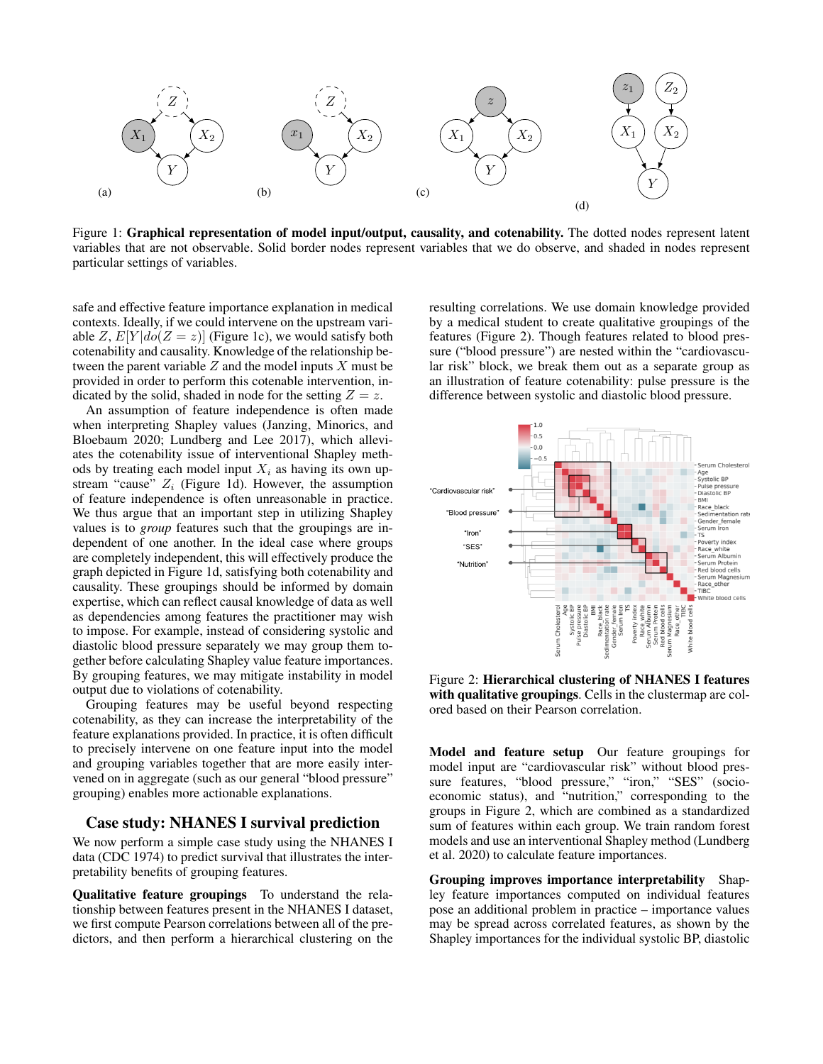

Figure 1: Graphical representation of model input/output, causality, and cotenability. The dotted nodes represent latent variables that are not observable. Solid border nodes represent variables that we do observe, and shaded in nodes represent particular settings of variables.

safe and effective feature importance explanation in medical contexts. Ideally, if we could intervene on the upstream variable Z,  $E[Y|do(Z = z)]$  (Figure 1c), we would satisfy both cotenability and causality. Knowledge of the relationship between the parent variable  $Z$  and the model inputs  $X$  must be provided in order to perform this cotenable intervention, indicated by the solid, shaded in node for the setting  $Z = z$ .

An assumption of feature independence is often made when interpreting Shapley values (Janzing, Minorics, and Bloebaum 2020; Lundberg and Lee 2017), which alleviates the cotenability issue of interventional Shapley methods by treating each model input  $X_i$  as having its own upstream "cause"  $Z_i$  (Figure 1d). However, the assumption of feature independence is often unreasonable in practice. We thus argue that an important step in utilizing Shapley values is to *group* features such that the groupings are independent of one another. In the ideal case where groups are completely independent, this will effectively produce the graph depicted in Figure 1d, satisfying both cotenability and causality. These groupings should be informed by domain expertise, which can reflect causal knowledge of data as well as dependencies among features the practitioner may wish to impose. For example, instead of considering systolic and diastolic blood pressure separately we may group them together before calculating Shapley value feature importances. By grouping features, we may mitigate instability in model output due to violations of cotenability.

Grouping features may be useful beyond respecting cotenability, as they can increase the interpretability of the feature explanations provided. In practice, it is often difficult to precisely intervene on one feature input into the model and grouping variables together that are more easily intervened on in aggregate (such as our general "blood pressure" grouping) enables more actionable explanations.

# Case study: NHANES I survival prediction

We now perform a simple case study using the NHANES I data (CDC 1974) to predict survival that illustrates the interpretability benefits of grouping features.

Qualitative feature groupings To understand the relationship between features present in the NHANES I dataset, we first compute Pearson correlations between all of the predictors, and then perform a hierarchical clustering on the

resulting correlations. We use domain knowledge provided by a medical student to create qualitative groupings of the features (Figure 2). Though features related to blood pressure ("blood pressure") are nested within the "cardiovascular risk" block, we break them out as a separate group as an illustration of feature cotenability: pulse pressure is the difference between systolic and diastolic blood pressure.



Figure 2: Hierarchical clustering of NHANES I features with qualitative groupings. Cells in the clustermap are colored based on their Pearson correlation.

Model and feature setup Our feature groupings for model input are "cardiovascular risk" without blood pressure features, "blood pressure," "iron," "SES" (socioeconomic status), and "nutrition," corresponding to the groups in Figure 2, which are combined as a standardized sum of features within each group. We train random forest models and use an interventional Shapley method (Lundberg et al. 2020) to calculate feature importances.

Grouping improves importance interpretability Shapley feature importances computed on individual features pose an additional problem in practice – importance values may be spread across correlated features, as shown by the Shapley importances for the individual systolic BP, diastolic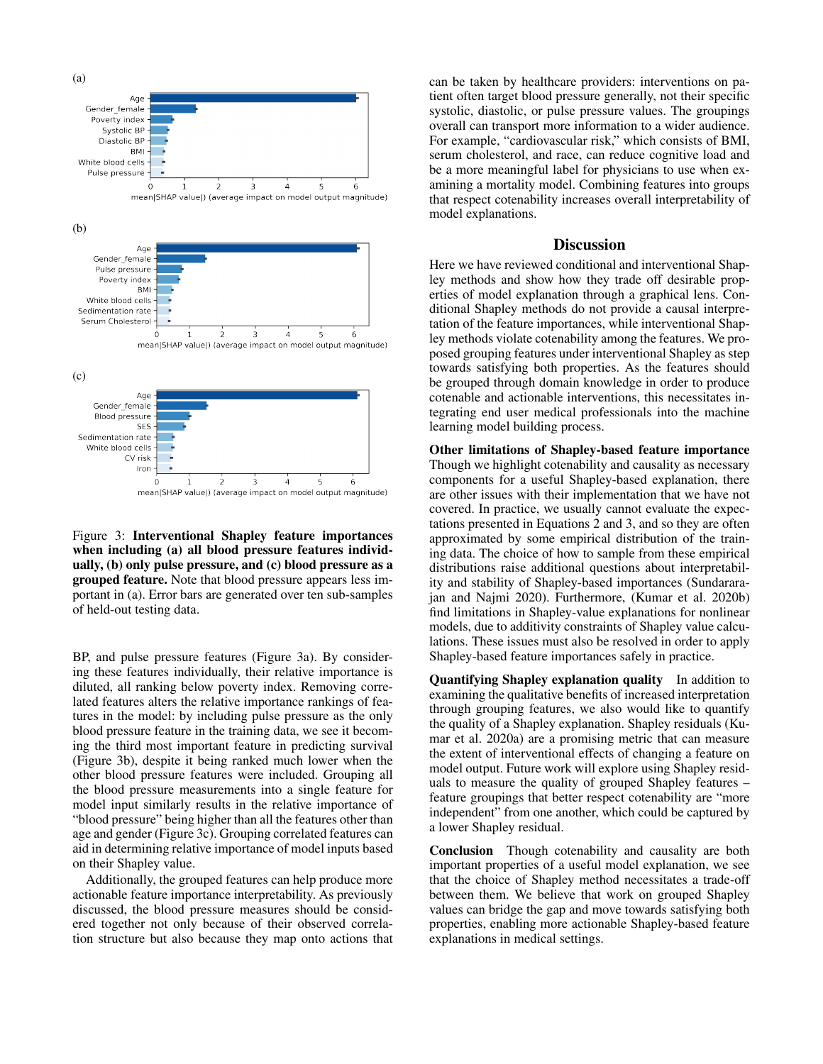

Figure 3: Interventional Shapley feature importances when including (a) all blood pressure features individually, (b) only pulse pressure, and (c) blood pressure as a grouped feature. Note that blood pressure appears less important in (a). Error bars are generated over ten sub-samples of held-out testing data.

BP, and pulse pressure features (Figure 3a). By considering these features individually, their relative importance is diluted, all ranking below poverty index. Removing correlated features alters the relative importance rankings of features in the model: by including pulse pressure as the only blood pressure feature in the training data, we see it becoming the third most important feature in predicting survival (Figure 3b), despite it being ranked much lower when the other blood pressure features were included. Grouping all the blood pressure measurements into a single feature for model input similarly results in the relative importance of "blood pressure" being higher than all the features other than age and gender (Figure 3c). Grouping correlated features can aid in determining relative importance of model inputs based on their Shapley value.

Additionally, the grouped features can help produce more actionable feature importance interpretability. As previously discussed, the blood pressure measures should be considered together not only because of their observed correlation structure but also because they map onto actions that

can be taken by healthcare providers: interventions on patient often target blood pressure generally, not their specific systolic, diastolic, or pulse pressure values. The groupings overall can transport more information to a wider audience. For example, "cardiovascular risk," which consists of BMI, serum cholesterol, and race, can reduce cognitive load and be a more meaningful label for physicians to use when examining a mortality model. Combining features into groups that respect cotenability increases overall interpretability of model explanations.

## **Discussion**

Here we have reviewed conditional and interventional Shapley methods and show how they trade off desirable properties of model explanation through a graphical lens. Conditional Shapley methods do not provide a causal interpretation of the feature importances, while interventional Shapley methods violate cotenability among the features. We proposed grouping features under interventional Shapley as step towards satisfying both properties. As the features should be grouped through domain knowledge in order to produce cotenable and actionable interventions, this necessitates integrating end user medical professionals into the machine learning model building process.

Other limitations of Shapley-based feature importance Though we highlight cotenability and causality as necessary components for a useful Shapley-based explanation, there are other issues with their implementation that we have not covered. In practice, we usually cannot evaluate the expectations presented in Equations 2 and 3, and so they are often approximated by some empirical distribution of the training data. The choice of how to sample from these empirical distributions raise additional questions about interpretability and stability of Shapley-based importances (Sundararajan and Najmi 2020). Furthermore, (Kumar et al. 2020b) find limitations in Shapley-value explanations for nonlinear models, due to additivity constraints of Shapley value calculations. These issues must also be resolved in order to apply Shapley-based feature importances safely in practice.

Quantifying Shapley explanation quality In addition to examining the qualitative benefits of increased interpretation through grouping features, we also would like to quantify the quality of a Shapley explanation. Shapley residuals (Kumar et al. 2020a) are a promising metric that can measure the extent of interventional effects of changing a feature on model output. Future work will explore using Shapley residuals to measure the quality of grouped Shapley features – feature groupings that better respect cotenability are "more independent" from one another, which could be captured by a lower Shapley residual.

Conclusion Though cotenability and causality are both important properties of a useful model explanation, we see that the choice of Shapley method necessitates a trade-off between them. We believe that work on grouped Shapley values can bridge the gap and move towards satisfying both properties, enabling more actionable Shapley-based feature explanations in medical settings.